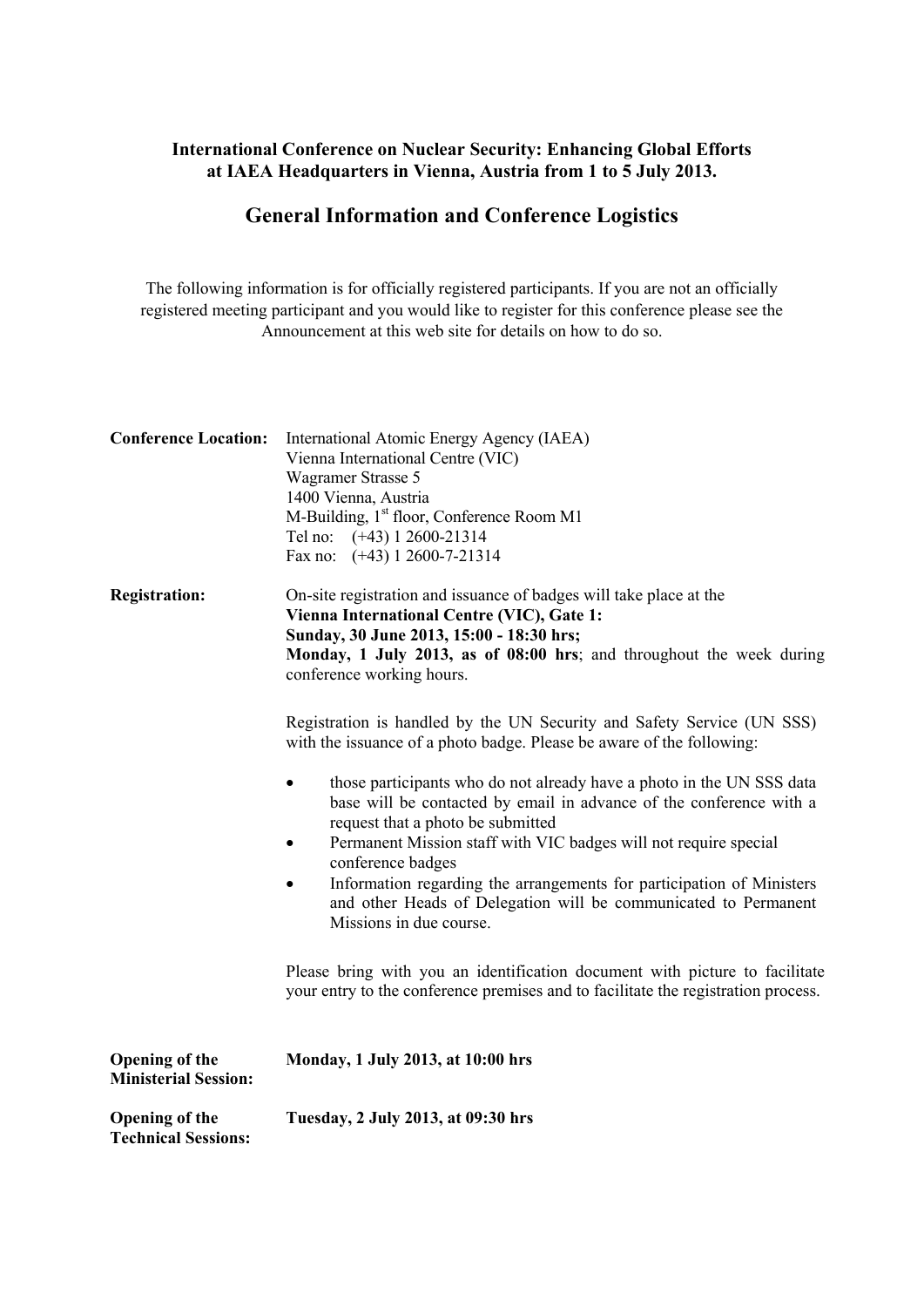## **International Conference on Nuclear Security: Enhancing Global Efforts at IAEA Headquarters in Vienna, Austria from 1 to 5 July 2013.**

## **General Information and Conference Logistics**

The following information is for officially registered participants. If you are not an officially registered meeting participant and you would like to register for this conference please see the Announcement at this web site for details on how to do so.

| <b>Conference Location:</b>                          | International Atomic Energy Agency (IAEA)<br>Vienna International Centre (VIC)<br>Wagramer Strasse 5<br>1400 Vienna, Austria<br>M-Building, 1 <sup>st</sup> floor, Conference Room M1<br>Tel no: (+43) 1 2600-21314<br>Fax no: (+43) 1 2600-7-21314               |
|------------------------------------------------------|-------------------------------------------------------------------------------------------------------------------------------------------------------------------------------------------------------------------------------------------------------------------|
| <b>Registration:</b>                                 | On-site registration and issuance of badges will take place at the<br>Vienna International Centre (VIC), Gate 1:<br>Sunday, 30 June 2013, 15:00 - 18:30 hrs;<br>Monday, 1 July 2013, as of 08:00 hrs; and throughout the week during<br>conference working hours. |
|                                                      | Registration is handled by the UN Security and Safety Service (UN SSS)<br>with the issuance of a photo badge. Please be aware of the following:                                                                                                                   |
|                                                      | those participants who do not already have a photo in the UN SSS data<br>base will be contacted by email in advance of the conference with a<br>request that a photo be submitted<br>Permanent Mission staff with VIC badges will not require special             |
|                                                      | conference badges<br>Information regarding the arrangements for participation of Ministers<br>and other Heads of Delegation will be communicated to Permanent<br>Missions in due course.                                                                          |
|                                                      | Please bring with you an identification document with picture to facilitate<br>your entry to the conference premises and to facilitate the registration process.                                                                                                  |
| <b>Opening of the</b><br><b>Ministerial Session:</b> | Monday, 1 July 2013, at 10:00 hrs                                                                                                                                                                                                                                 |
| <b>Opening of the</b><br><b>Technical Sessions:</b>  | Tuesday, 2 July 2013, at 09:30 hrs                                                                                                                                                                                                                                |